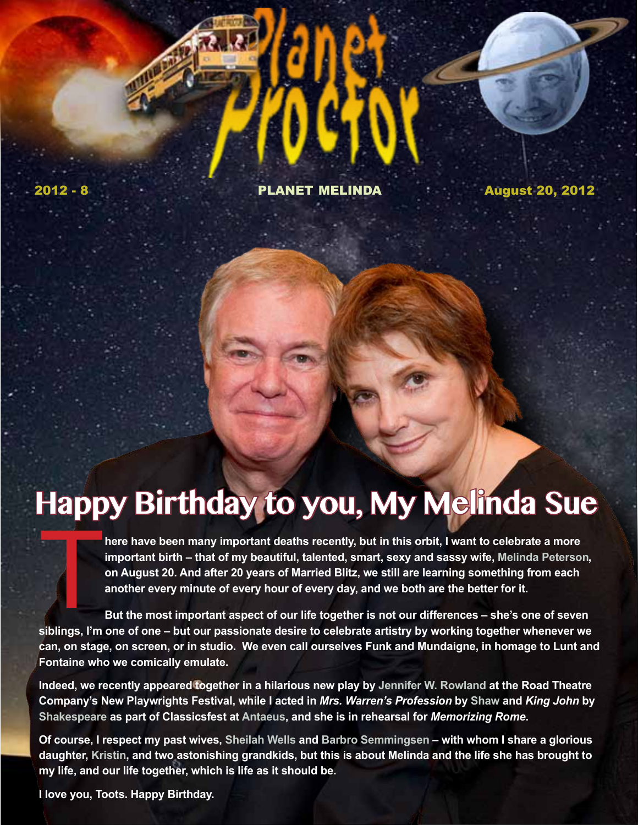2012 - 8 PLANET MELINDA August 20, 2012

# **Happy Birthday to you, My Melinda Sue**

There have been many important deaths recently, but in this orbit, I want to celebrate a more important birth – that of my beautiful, talented, smart, sexy and sassy wife, Melinda Peterso on August 20. And after 20 years o **important birth – that of my beautiful, talented, smart, sexy and sassy wife, Melinda Peterson, on August 20. And after 20 years of Married Blitz, we still are learning something from each another every minute of every hour of every day, and we both are the better for it.** 

**But the most important aspect of our life together is not our differences – she's one of seven siblings, I'm one of one – but our passionate desire to celebrate artistry by working together whenever we can, on stage, on screen, or in studio. We even call ourselves Funk and Mundaigne, in homage to Lunt and Fontaine who we comically emulate.** 

**Indeed, we recently appeared together in a hilarious new play by Jennifer W. Rowland at the Road Theatre Company's New Playwrights Festival, while I acted in** *Mrs. Warren's Profession* **by Shaw and** *King John* **by Shakespeare as part of Classicsfest at Antaeus, and she is in rehearsal for** *Memorizing Rome***.**

**Of course, I respect my past wives, Sheilah Wells and Barbro Semmingsen – with whom I share a glorious daughter, Kristin, and two astonishing grandkids, but this is about Melinda and the life she has brought to my life, and our life together, which is life as it should be.** 

**I love you, Toots. Happy Birthday.**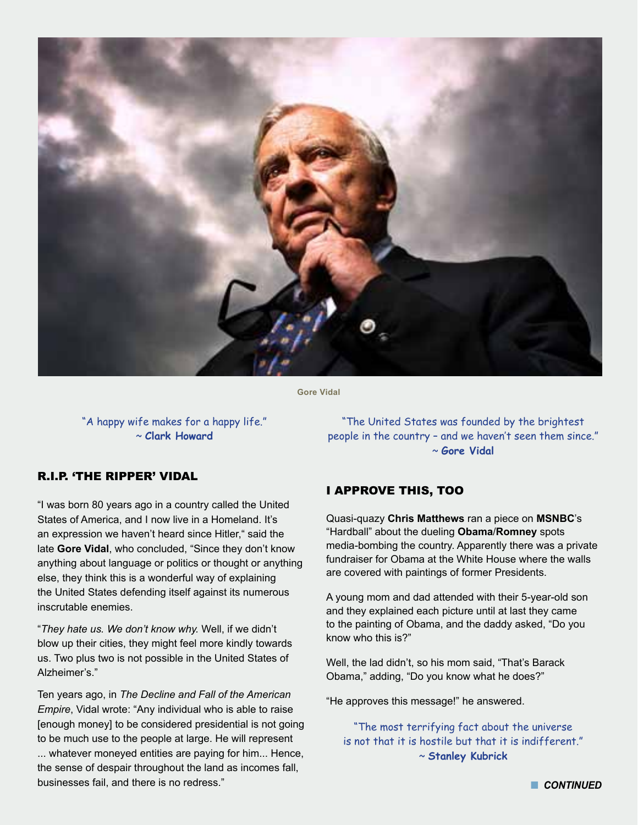

**Gore Vidal**

"A happy wife makes for a happy life." ~ **Clark Howard**

"The United States was founded by the brightest people in the country – and we haven't seen them since." ~ **Gore Vidal**

## R.I.P. 'THE RIPPER' VIDAL

"I was born 80 years ago in a country called the United States of America, and I now live in a Homeland. It's an expression we haven't heard since Hitler," said the late **Gore Vidal**, who concluded, "Since they don't know anything about language or politics or thought or anything else, they think this is a wonderful way of explaining the United States defending itself against its numerous inscrutable enemies.

"*They hate us. We don't know why.* Well, if we didn't blow up their cities, they might feel more kindly towards us. Two plus two is not possible in the United States of Alzheimer's."

Ten years ago, in *The Decline and Fall of the American Empire*, Vidal wrote: "Any individual who is able to raise [enough money] to be considered presidential is not going to be much use to the people at large. He will represent ... whatever moneyed entities are paying for him... Hence, the sense of despair throughout the land as incomes fall, businesses fail, and there is no redress."

## I APPROVE THIS, TOO

Quasi-quazy **Chris Matthews** ran a piece on **MSNBC**'s "Hardball" about the dueling **Obama**/**Romney** spots media-bombing the country. Apparently there was a private fundraiser for Obama at the White House where the walls are covered with paintings of former Presidents.

A young mom and dad attended with their 5-year-old son and they explained each picture until at last they came to the painting of Obama, and the daddy asked, "Do you know who this is?"

Well, the lad didn't, so his mom said, "That's Barack Obama," adding, "Do you know what he does?"

"He approves this message!" he answered.

"The most terrifying fact about the universe is not that it is hostile but that it is indifferent." ~ **Stanley Kubrick**

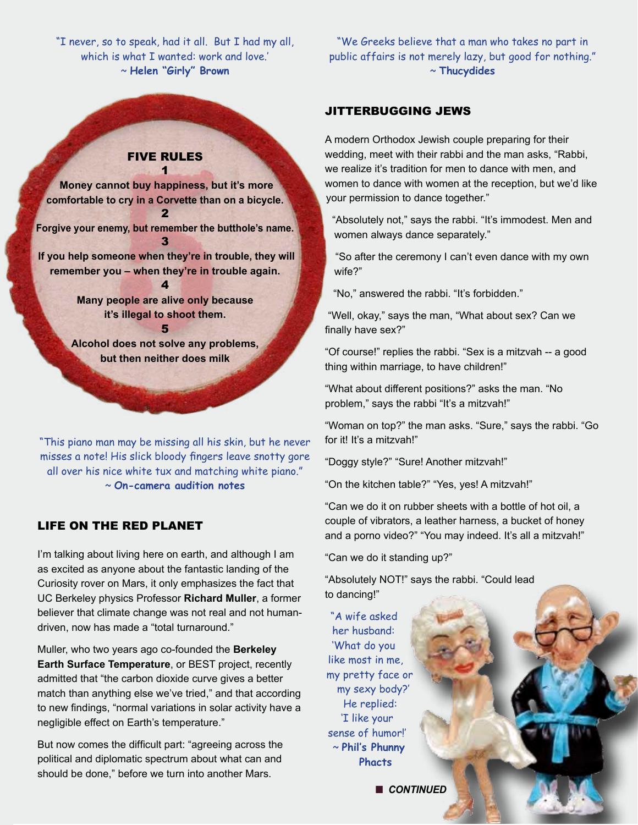"I never, so to speak, had it all. But I had my all, which is what I wanted: work and love.' ~ **Helen "Girly" Brown**

### FIVE RULES 1

 **Money cannot buy happiness, but it's more comfortable to cry in a Corvette than on a bicycle.** 2

**Forgive your enemy, but remember the butthole's name.** 3

 **If you help someone when they're in trouble, they will remember you – when they're in trouble again.** 4

> **Many people are alive only because it's illegal to shoot them.**

> > 5

**Alcohol does not solve any problems, but then neither does milk**

"This piano man may be missing all his skin, but he never misses a note! His slick bloody fingers leave snotty gore all over his nice white tux and matching white piano." ~ **On-camera audition notes**

## LIFE ON THE RED PLANET

I'm talking about living here on earth, and although I am as excited as anyone about the fantastic landing of the Curiosity rover on Mars, it only emphasizes the fact that UC Berkeley physics Professor **Richard Muller**, a former believer that climate change was not real and not humandriven, now has made a "total turnaround."

Muller, who two years ago co-founded the **Berkeley Earth Surface Temperature**, or BEST project, recently admitted that "the carbon dioxide curve gives a better match than anything else we've tried," and that according to new findings, "normal variations in solar activity have a negligible effect on Earth's temperature."

But now comes the difficult part: "agreeing across the political and diplomatic spectrum about what can and should be done," before we turn into another Mars.

"We Greeks believe that a man who takes no part in public affairs is not merely lazy, but good for nothing." ~ **Thucydides**

#### JITTERBUGGING JEWS

A modern Orthodox Jewish couple preparing for their wedding, meet with their rabbi and the man asks, "Rabbi, we realize it's tradition for men to dance with men, and women to dance with women at the reception, but we'd like your permission to dance together."

"Absolutely not," says the rabbi. "It's immodest. Men and women always dance separately."

"So after the ceremony I can't even dance with my own wife?"

"No," answered the rabbi. "It's forbidden."

"Well, okay," says the man, "What about sex? Can we finally have sex?"

"Of course!" replies the rabbi. "Sex is a mitzvah -- a good thing within marriage, to have children!"

"What about different positions?" asks the man. "No problem," says the rabbi "It's a mitzvah!"

"Woman on top?" the man asks. "Sure," says the rabbi. "Go for it! It's a mitzvah!"

"Doggy style?" "Sure! Another mitzvah!"

"On the kitchen table?" "Yes, yes! A mitzvah!"

"Can we do it on rubber sheets with a bottle of hot oil, a couple of vibrators, a leather harness, a bucket of honey and a porno video?" "You may indeed. It's all a mitzvah!"

"Can we do it standing up?"

"Absolutely NOT!" says the rabbi. "Could lead to dancing!"

"A wife asked her husband: 'What do you like most in me, my pretty face or my sexy body?' He replied: 'I like your sense of humor!' ~ **Phil's Phunny Phacts**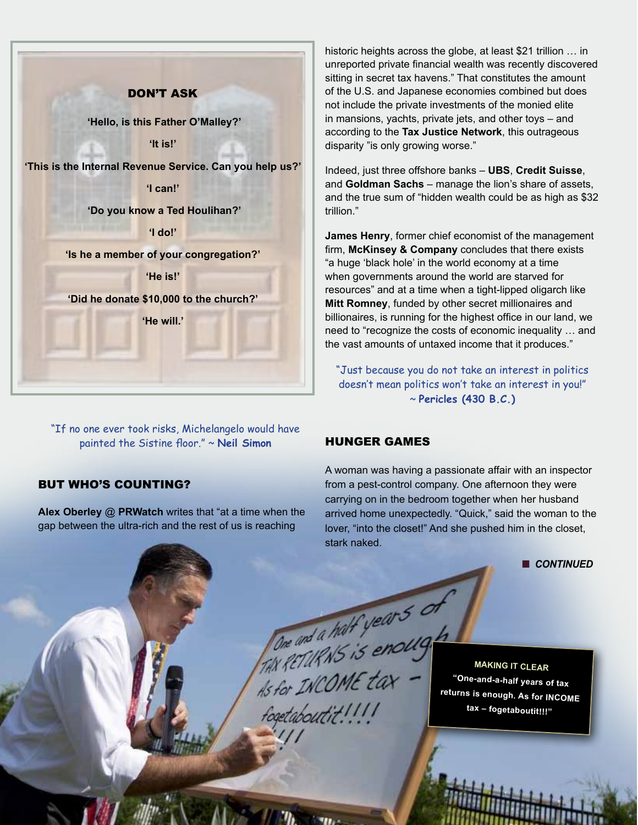

"If no one ever took risks, Michelangelo would have painted the Sistine floor." ~ **Neil Simon**

## BUt WHO'S COUNTING?

**Alex Oberley** @ **PRWatch** writes that "at a time when the gap between the ultra-rich and the rest of us is reaching

historic heights across the globe, at least \$21 trillion … in unreported private financial wealth was recently discovered sitting in secret tax havens." That constitutes the amount of the U.S. and Japanese economies combined but does not include the private investments of the monied elite in mansions, yachts, private jets, and other toys – and according to the **Tax Justice Network**, this outrageous disparity "is only growing worse."

Indeed, just three offshore banks – **UBS**, **Credit Suisse**, and **Goldman Sachs** – manage the lion's share of assets, and the true sum of "hidden wealth could be as high as \$32 trillion."

**James Henry**, former chief economist of the management firm, **McKinsey & Company** concludes that there exists "a huge 'black hole' in the world economy at a time when governments around the world are starved for resources" and at a time when a tight-lipped oligarch like **Mitt Romney**, funded by other secret millionaires and billionaires, is running for the highest office in our land, we need to "recognize the costs of economic inequality … and the vast amounts of untaxed income that it produces."

"Just because you do not take an interest in politics doesn't mean politics won't take an interest in you!" ~ **Pericles (430 B.C.)** 

## HUNGER GAMES

A woman was having a passionate affair with an inspector from a pest-control company. One afternoon they were carrying on in the bedroom together when her husband arrived home unexpectedly. "Quick," said the woman to the lover, "into the closet!" And she pushed him in the closet, stark naked.

**n** CONTINUED

FONE and a half years of the MAKING IT CLEAR<br>As for INCOME tax - "One-and-a-half years of tax<br>fogetabourtit !!!! fogetaboutit!!!!

**MAKING IT CLEAR returns is enough. As for INCOME tax – fogetaboutit!!!"**